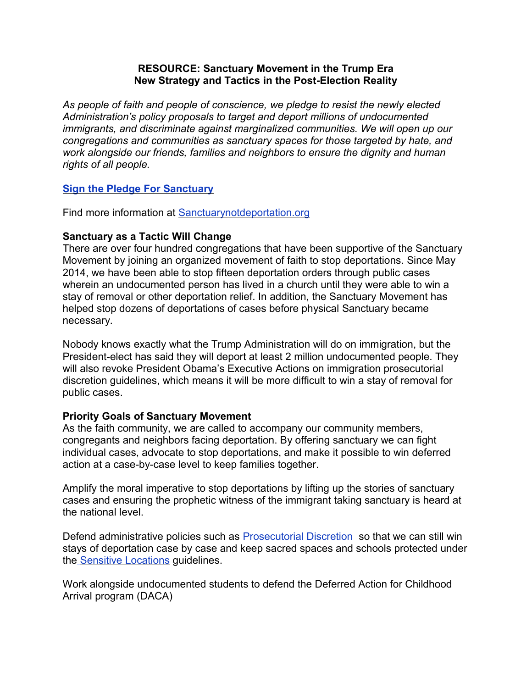#### **RESOURCE: Sanctuary Movement in the Trump Era New Strategy and Tactics in the Post-Election Reality**

*As people of faith and people of conscience, we pledge to resist the newly elected Administration's policy proposals to target and deport millions of undocumented immigrants, and discriminate against marginalized communities. We will open up our congregations and communities as sanctuary spaces for those targeted by hate, and work alongside our friends, families and neighbors to ensure the dignity and human rights of all people.*

# **[Sign the Pledge For Sanctuary](https://action.groundswell-mvmt.org/petitions/we-pledge-to-resist-deportation-and-discrimination-through-sanctuary?source=facebook-share-button&time=1479250776)**

Find more information at [Sanctuarynotdeportation.org](http://sanctuarynotdeportation.org/)

# **Sanctuary as a Tactic Will Change**

There are over four hundred congregations that have been supportive of the Sanctuary Movement by joining an organized movement of faith to stop deportations. Since May 2014, we have been able to stop fifteen deportation orders through public cases wherein an undocumented person has lived in a church until they were able to win a stay of removal or other deportation relief. In addition, the Sanctuary Movement has helped stop dozens of deportations of cases before physical Sanctuary became necessary.

Nobody knows exactly what the Trump Administration will do on immigration, but the President-elect has said they will deport at least 2 million undocumented people. They will also revoke President Obama's Executive Actions on immigration prosecutorial discretion guidelines, which means it will be more difficult to win a stay of removal for public cases.

## **Priority Goals of Sanctuary Movement**

As the faith community, we are called to accompany our community members, congregants and neighbors facing deportation. By offering sanctuary we can fight individual cases, advocate to stop deportations, and make it possible to win deferred action at a case-by-case level to keep families together.

Amplify the moral imperative to stop deportations by lifting up the stories of sanctuary cases and ensuring the prophetic witness of the immigrant taking sanctuary is heard at the national level.

Defend administrative policies such as **Prosecutorial Discretion** so that we can still win stays of deportation case by case and keep sacred spaces and schools protected under th[e Sensitive Locations](https://www.ice.gov/doclib/ero-outreach/pdf/10029.2-policy.pdf) guidelines.

Work alongside undocumented students to defend the Deferred Action for Childhood Arrival program (DACA)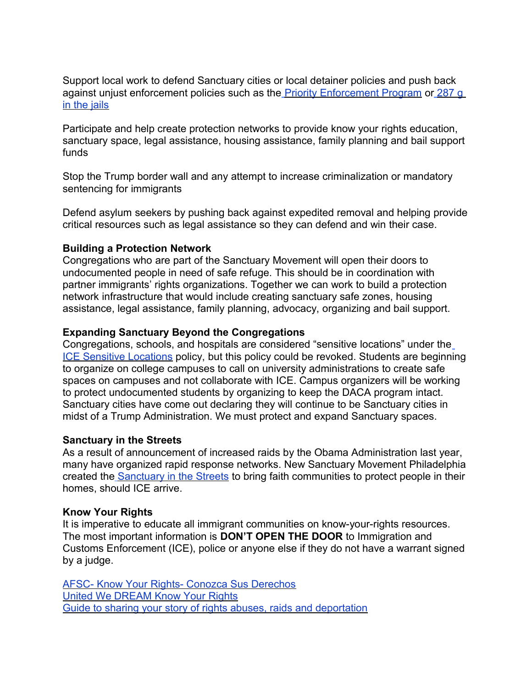Support local work to defend Sanctuary cities or local detainer policies and push back against unjust enforcement policies such as the [Priority Enforcement Program](https://www.ice.gov/pep) o[r 287 g](https://www.ice.gov/factsheets/287g) [in the jails](https://www.ice.gov/factsheets/287g)

Participate and help create protection networks to provide know your rights education, sanctuary space, legal assistance, housing assistance, family planning and bail support funds

Stop the Trump border wall and any attempt to increase criminalization or mandatory sentencing for immigrants

Defend asylum seekers by pushing back against expedited removal and helping provide critical resources such as legal assistance so they can defend and win their case.

#### **Building a Protection Network**

Congregations who are part of the Sanctuary Movement will open their doors to undocumented people in need of safe refuge. This should be in coordination with partner immigrants' rights organizations. Together we can work to build a protection network infrastructure that would include creating sanctuary safe zones, housing assistance, legal assistance, family planning, advocacy, organizing and bail support.

#### **Expanding Sanctuary Beyond the Congregations**

Congregations, schools, and hospitals are considered "sensitive locations" under the [ICE Sensitive Locations](http://www.ice.gov/doclib/ero-outreach/pdf/10029.2-policy.pdf) policy, but this policy could be revoked. Students are beginning to organize on college campuses to call on university administrations to create safe spaces on campuses and not collaborate with ICE. Campus organizers will be working to protect undocumented students by organizing to keep the DACA program intact. Sanctuary cities have come out declaring they will continue to be Sanctuary cities in midst of a Trump Administration. We must protect and expand Sanctuary spaces.

## **Sanctuary in the Streets**

As a result of announcement of increased raids by the Obama Administration last year, many have organized rapid response networks. New Sanctuary Movement Philadelphia created th[e Sanctuary in the Streets](http://sanctuaryphiladelphia.org/1962-2/) to bring faith communities to protect people in their homes, should ICE arrive.

## **Know Your Rights**

It is imperative to educate all immigrant communities on know-your-rights resources. The most important information is **DON'T OPEN THE DOOR** to Immigration and Customs Enforcement (ICE), police or anyone else if they do not have a warrant signed by a judge.

[AFSC- Know Your Rights- Conozca Sus Derechos](https://afsc.org/category/topic/know-your-rights) [United We DREAM Know Your Rights](http://unitedwedream.org/blog/en-caso-de-redadas-que-puedes-hacer/) [Guide to sharing your story of rights abuses, raids and deportation](http://173.236.53.234/~nnirrorg/drupal/sites/default/files/questionnaire_100_storiesfinal_0.pdf)